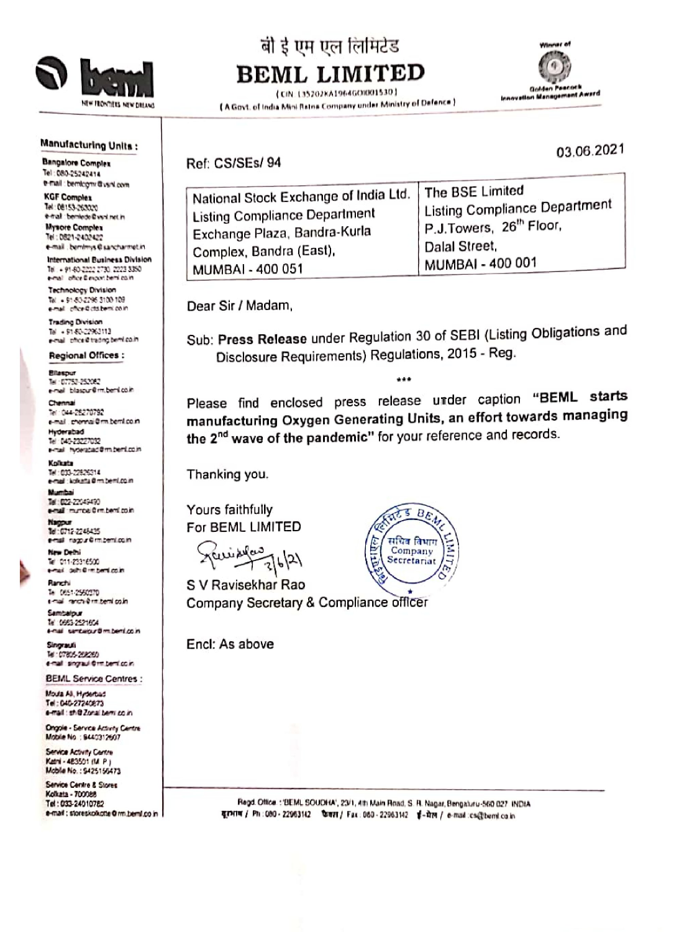

# बी ई एम एल लिमिटेड **BEML LIMITED**

(CIN: L35202KA1964GOI001530) (A Govt. of India Mini Ratna Company under Ministry of Dafence)



#### **Manufacturing Units:**

**Bangalore Complex** Tel: 080-25242414 e-mail : bemtogni @vsnl.com

**KGF Complex** Tel: 08153-263020 e-mail: bemiede@vsvl.net.in **Mysore Complex** Tel: 0821-2402422 e-mail: bemimys@sancharmet.in

International Business Division Tel: + 91-60-2222 2730, 2223 3350 e-mail: office Blescott bemilicain

Technology Division Tal. 4.01.80-2295-3100-109 e-nal pfice@cts.beni.co.in

**Trading Division** Tel: + 91-80-22963113 e-mail: pflice@trading.bemLco.in

**Regional Offices: Blasput** Tel: 07752-252082

e-nel blascur@m.beni.co.in Chennai Tel: 044-26270792

e-mail: chennai@mibernico.in Hyderabad Tel: 040-23227032 e-nal hyderabad@m.beni.co.in

Kolkata Tel: 033-22825214 e-mail : knikata@mthemi.co.in

Munha Tel: 022-22049490 e-nal munca 0m.beni co.in

Nagput 14:012-248435 e-nal ragpu©rn.beni.com

New Debti Tel: 011-23316500 e-mail: definitive bend colin

Ranchi Te 0651-2560370 e-mail: renchi@rm.beml.co.in

Sambalpur Tel: 0683-252165A t-nai santaipur@m.beni.co.in

Singrauli Tel: 07805-098090 e-mail: singraul-Orm berri co.in

**BEML Service Centres:** Mouta All, Hyderbad Tel: 040-27240673 e-mail: sh@Zonal.bemi.co.in

**Ongole - Service Activity Centre** Mobile No : 6440312607

Service Activity Centre Katni - 483501 (M. P.) Mobile No.: \$425156473

Service Centre & Stores Kolkata - 700088 Tel: 033-24010782 e-mail: storeskolkotte@rm.beml.co.in Ref: CS/SEs/94

| National Stock Exchange of India Ltd. | The BSE Limited                     |
|---------------------------------------|-------------------------------------|
| Listing Compliance Department         | Listing Compliance Department       |
| Exchange Plaza, Bandra-Kurla          | P.J.Towers, 26 <sup>th</sup> Floor, |
| Complex, Bandra (East),               | Dalal Street.                       |
| MUMBAI - 400 051                      | MUMBAI - 400 001                    |

Dear Sir / Madam,

Sub: Press Release under Regulation 30 of SEBI (Listing Obligations and Disclosure Requirements) Regulations, 2015 - Reg.

\*\*\*

Please find enclosed press release under caption "BEML starts manufacturing Oxygen Generating Units, an effort towards managing the 2<sup>nd</sup> wave of the pandemic" for your reference and records.

Thanking you.

Yours faithfully For BEML LIMITED

 $+7621$ 

S V Ravisekhar Rao Company Secretary & Compliance officer

Encl: As above



Regd. Office: "BEML SOUDHA", 23/1, 4th Main Road, S. R. Nagar, Bengaturu-560 027. INDIA यूरभाष / Ph: 080 - 22963142 फिस्म / Fax: 060 - 22963142 ई-मेल / e-mail:cs@bemi.co.in

03.06.2021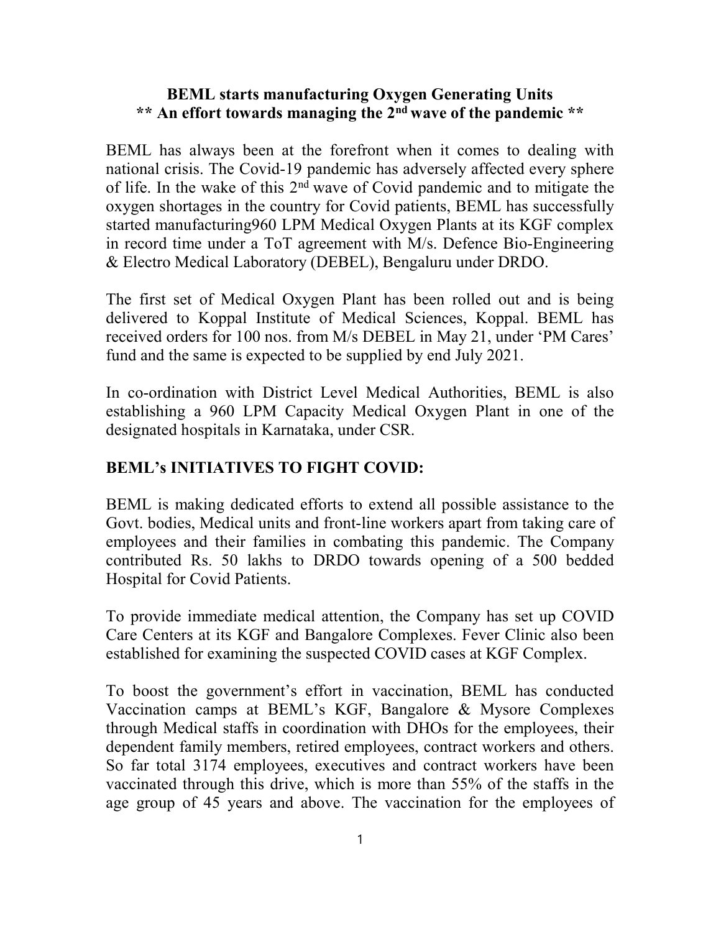#### BEML starts manufacturing Oxygen Generating Units \*\* An effort towards managing the 2nd wave of the pandemic \*\*

BEML has always been at the forefront when it comes to dealing with national crisis. The Covid-19 pandemic has adversely affected every sphere of life. In the wake of this 2nd wave of Covid pandemic and to mitigate the oxygen shortages in the country for Covid patients, BEML has successfully started manufacturing960 LPM Medical Oxygen Plants at its KGF complex in record time under a ToT agreement with M/s. Defence Bio-Engineering & Electro Medical Laboratory (DEBEL), Bengaluru under DRDO.

The first set of Medical Oxygen Plant has been rolled out and is being delivered to Koppal Institute of Medical Sciences, Koppal. BEML has received orders for 100 nos. from M/s DEBEL in May 21, under 'PM Cares' fund and the same is expected to be supplied by end July 2021.

In co-ordination with District Level Medical Authorities, BEML is also establishing a 960 LPM Capacity Medical Oxygen Plant in one of the designated hospitals in Karnataka, under CSR.

### BEML's INITIATIVES TO FIGHT COVID:

BEML is making dedicated efforts to extend all possible assistance to the Govt. bodies, Medical units and front-line workers apart from taking care of employees and their families in combating this pandemic. The Company contributed Rs. 50 lakhs to DRDO towards opening of a 500 bedded Hospital for Covid Patients.

To provide immediate medical attention, the Company has set up COVID Care Centers at its KGF and Bangalore Complexes. Fever Clinic also been established for examining the suspected COVID cases at KGF Complex.

To boost the government's effort in vaccination, BEML has conducted Vaccination camps at BEML's KGF, Bangalore & Mysore Complexes through Medical staffs in coordination with DHOs for the employees, their dependent family members, retired employees, contract workers and others. So far total 3174 employees, executives and contract workers have been vaccinated through this drive, which is more than 55% of the staffs in the age group of 45 years and above. The vaccination for the employees of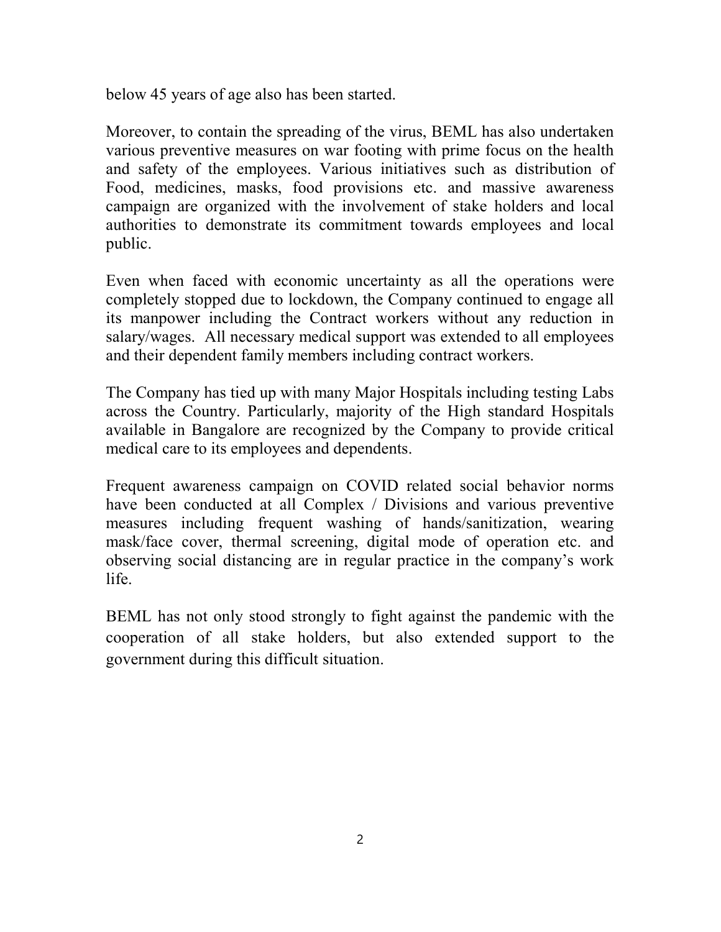below 45 years of age also has been started.

Moreover, to contain the spreading of the virus, BEML has also undertaken various preventive measures on war footing with prime focus on the health and safety of the employees. Various initiatives such as distribution of Food, medicines, masks, food provisions etc. and massive awareness campaign are organized with the involvement of stake holders and local authorities to demonstrate its commitment towards employees and local public.

Even when faced with economic uncertainty as all the operations were completely stopped due to lockdown, the Company continued to engage all its manpower including the Contract workers without any reduction in salary/wages. All necessary medical support was extended to all employees and their dependent family members including contract workers.

The Company has tied up with many Major Hospitals including testing Labs across the Country. Particularly, majority of the High standard Hospitals available in Bangalore are recognized by the Company to provide critical medical care to its employees and dependents.

Frequent awareness campaign on COVID related social behavior norms have been conducted at all Complex / Divisions and various preventive measures including frequent washing of hands/sanitization, wearing mask/face cover, thermal screening, digital mode of operation etc. and observing social distancing are in regular practice in the company's work life.

BEML has not only stood strongly to fight against the pandemic with the cooperation of all stake holders, but also extended support to the government during this difficult situation.